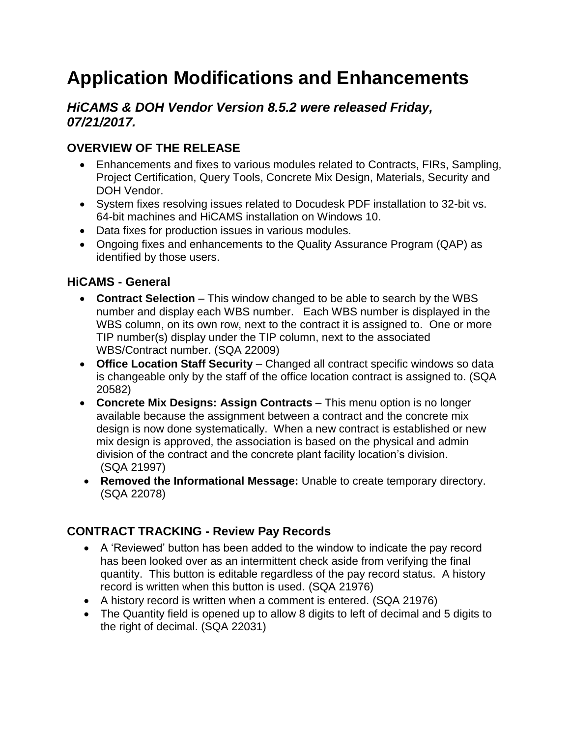# **Application Modifications and Enhancements**

### *HiCAMS & DOH Vendor Version 8.5.2 were released Friday, 07/21/2017.*

## **OVERVIEW OF THE RELEASE**

- Enhancements and fixes to various modules related to Contracts, FIRs, Sampling, Project Certification, Query Tools, Concrete Mix Design, Materials, Security and DOH Vendor.
- System fixes resolving issues related to Docudesk PDF installation to 32-bit vs. 64-bit machines and HiCAMS installation on Windows 10.
- Data fixes for production issues in various modules.
- Ongoing fixes and enhancements to the Quality Assurance Program (QAP) as identified by those users.

### **HiCAMS - General**

- **Contract Selection** This window changed to be able to search by the WBS number and display each WBS number. Each WBS number is displayed in the WBS column, on its own row, next to the contract it is assigned to. One or more TIP number(s) display under the TIP column, next to the associated WBS/Contract number. (SQA 22009)
- **Office Location Staff Security** Changed all contract specific windows so data is changeable only by the staff of the office location contract is assigned to. (SQA 20582)
- **Concrete Mix Designs: Assign Contracts** This menu option is no longer available because the assignment between a contract and the concrete mix design is now done systematically. When a new contract is established or new mix design is approved, the association is based on the physical and admin division of the contract and the concrete plant facility location's division. (SQA 21997)
- **Removed the Informational Message:** Unable to create temporary directory. (SQA 22078)

#### **CONTRACT TRACKING - Review Pay Records**

- A 'Reviewed' button has been added to the window to indicate the pay record has been looked over as an intermittent check aside from verifying the final quantity. This button is editable regardless of the pay record status. A history record is written when this button is used. (SQA 21976)
- A history record is written when a comment is entered. (SQA 21976)
- The Quantity field is opened up to allow 8 digits to left of decimal and 5 digits to the right of decimal. (SQA 22031)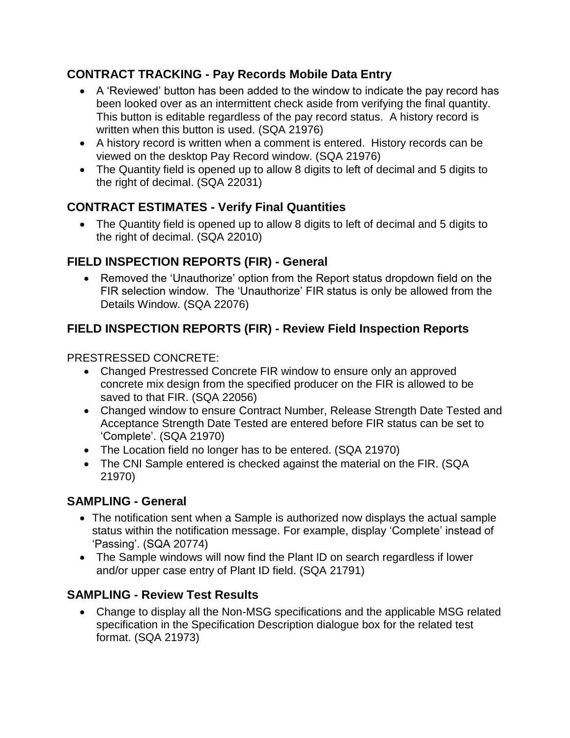## **CONTRACT TRACKING - Pay Records Mobile Data Entry**

- A 'Reviewed' button has been added to the window to indicate the pay record has been looked over as an intermittent check aside from verifying the final quantity. This button is editable regardless of the pay record status. A history record is written when this button is used. (SQA 21976)
- A history record is written when a comment is entered. History records can be viewed on the desktop Pay Record window. (SQA 21976)
- The Quantity field is opened up to allow 8 digits to left of decimal and 5 digits to the right of decimal. (SQA 22031)

## **CONTRACT ESTIMATES - Verify Final Quantities**

 The Quantity field is opened up to allow 8 digits to left of decimal and 5 digits to the right of decimal. (SQA 22010)

## **FIELD INSPECTION REPORTS (FIR) - General**

 Removed the 'Unauthorize' option from the Report status dropdown field on the FIR selection window. The 'Unauthorize' FIR status is only be allowed from the Details Window. (SQA 22076)

## **FIELD INSPECTION REPORTS (FIR) - Review Field Inspection Reports**

PRESTRESSED CONCRETE:

- Changed Prestressed Concrete FIR window to ensure only an approved concrete mix design from the specified producer on the FIR is allowed to be saved to that FIR. (SQA 22056)
- Changed window to ensure Contract Number, Release Strength Date Tested and Acceptance Strength Date Tested are entered before FIR status can be set to 'Complete'. (SQA 21970)
- The Location field no longer has to be entered. (SQA 21970)
- The CNI Sample entered is checked against the material on the FIR. (SQA 21970)

#### **SAMPLING - General**

- The notification sent when a Sample is authorized now displays the actual sample status within the notification message. For example, display 'Complete' instead of 'Passing'. (SQA 20774)
- The Sample windows will now find the Plant ID on search regardless if lower and/or upper case entry of Plant ID field. (SQA 21791)

## **SAMPLING - Review Test Results**

 Change to display all the Non-MSG specifications and the applicable MSG related specification in the Specification Description dialogue box for the related test format. (SQA 21973)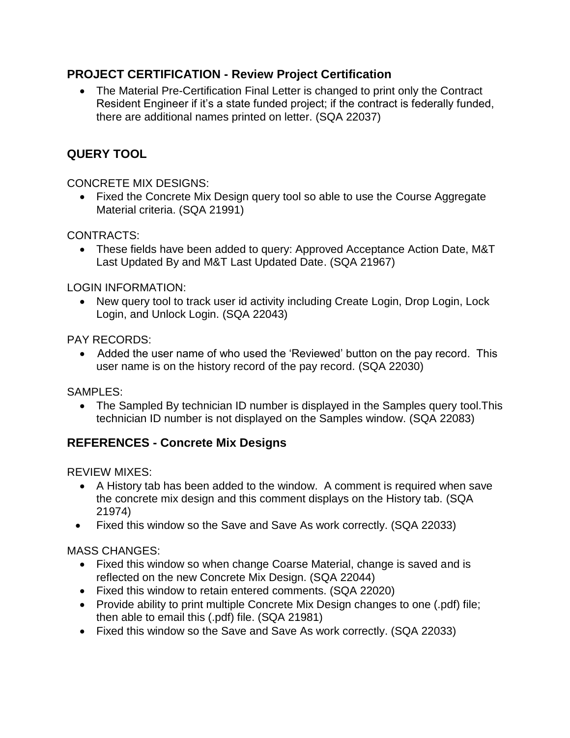### **PROJECT CERTIFICATION - Review Project Certification**

 The Material Pre-Certification Final Letter is changed to print only the Contract Resident Engineer if it's a state funded project; if the contract is federally funded, there are additional names printed on letter. (SQA 22037)

## **QUERY TOOL**

CONCRETE MIX DESIGNS:

• Fixed the Concrete Mix Design query tool so able to use the Course Aggregate Material criteria. (SQA 21991)

CONTRACTS:

 These fields have been added to query: Approved Acceptance Action Date, M&T Last Updated By and M&T Last Updated Date. (SQA 21967)

LOGIN INFORMATION:

 New query tool to track user id activity including Create Login, Drop Login, Lock Login, and Unlock Login. (SQA 22043)

PAY RECORDS:

• Added the user name of who used the 'Reviewed' button on the pay record. This user name is on the history record of the pay record. (SQA 22030)

SAMPLES:

 The Sampled By technician ID number is displayed in the Samples query tool.This technician ID number is not displayed on the Samples window. (SQA 22083)

#### **REFERENCES - Concrete Mix Designs**

REVIEW MIXES:

- A History tab has been added to the window. A comment is required when save the concrete mix design and this comment displays on the History tab. (SQA 21974)
- Fixed this window so the Save and Save As work correctly. (SQA 22033)

MASS CHANGES:

- Fixed this window so when change Coarse Material, change is saved and is reflected on the new Concrete Mix Design. (SQA 22044)
- Fixed this window to retain entered comments. (SQA 22020)
- Provide ability to print multiple Concrete Mix Design changes to one (.pdf) file; then able to email this (.pdf) file. (SQA 21981)
- Fixed this window so the Save and Save As work correctly. (SQA 22033)